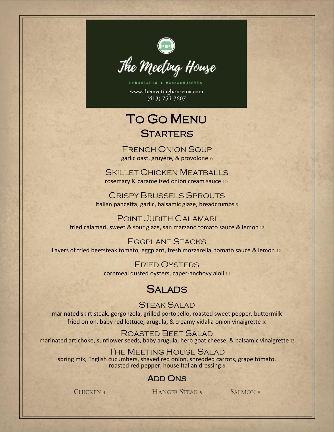

LONGMEADOW . MASSACHUSETTS www.themeetinghousema.com  $(413) 754 - 3607$ 

# TO GO MENU **STARTERS**

FRENCH ONION SOUP garlic oast, gruyére, & provolone <sup>6</sup>

SKILLET CHICKEN MEATBALLS rosemary & caramelized onion cream sauce <sup>10</sup>

CRISPY BRUSSELS SPROUTS Italian pancetta, garlic, balsamic glaze, breadcrumbs <sup>9</sup>

POINT JUDITH CALAMARI fried calamari, sweet & sour glaze, san marzano tomato sauce & lemon <sup>12</sup>

EGGPLANT STACKS Layers of fried beefsteak tomato, eggplant, fresh mozzarella, tomato sauce & lemon 12

> FRIED OYSTERS cornmeal dusted oysters, caper-anchovy aioli <sup>14</sup>

## **SALADS**

STEAK SALAD marinated skirt steak, gorgonzola, grilled portobello, roasted sweet pepper, buttermilk fried onion, baby red lettuce, arugula, & creamy vidalia onion vinaigrette <sup>16</sup>

ROASTED BEET SALAD marinated artichoke, sunflower seeds, baby arugula, herb goat cheese, & balsamic vinaigrette <sup>13</sup>

THE MEETING HOUSE SALAD spring mix, English cucumbers, shaved red onion, shredded carrots, grape tomato, roasted red pepper, house Italian dressing <sup>8</sup>

#### ADD ONS

CHICKEN <sup>4</sup> HANGER STEAK <sup>9</sup> SALMON <sup>8</sup>